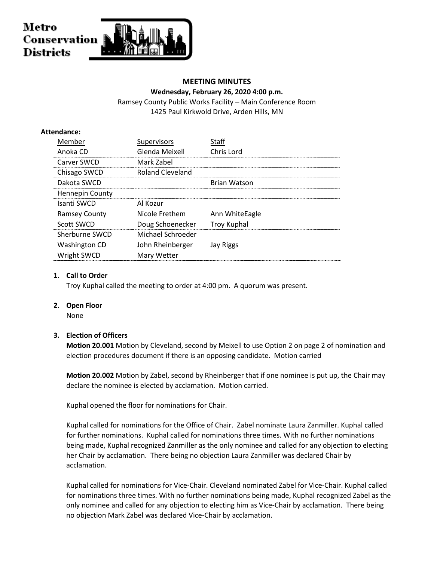

# **MEETING MINUTES**

**Wednesday, February 26, 2020 4:00 p.m.** Ramsey County Public Works Facility – Main Conference Room 1425 Paul Kirkwold Drive, Arden Hills, MN

#### **Attendance:**

| Supervisors        | Staff               |
|--------------------|---------------------|
| Glenda Meixell     | Chris Lord          |
| Mark Zabel         |                     |
| Roland Cleveland   |                     |
|                    | <b>Brian Watson</b> |
|                    |                     |
| Al Kozur           |                     |
| Nicole Frethem     | Ann WhiteEagle      |
| Doug Schoenecker   | Troy Kuphal         |
| Michael Schroeder  |                     |
| John Rheinberger   | Jav Riggs           |
| <b>Mary Wetter</b> |                     |
|                    |                     |

# **1. Call to Order**

Troy Kuphal called the meeting to order at 4:00 pm. A quorum was present.

#### **2. Open Floor**

None

# **3. Election of Officers**

**Motion 20.001** Motion by Cleveland, second by Meixell to use Option 2 on page 2 of nomination and election procedures document if there is an opposing candidate. Motion carried

**Motion 20.002** Motion by Zabel, second by Rheinberger that if one nominee is put up, the Chair may declare the nominee is elected by acclamation. Motion carried.

Kuphal opened the floor for nominations for Chair.

Kuphal called for nominations for the Office of Chair. Zabel nominate Laura Zanmiller. Kuphal called for further nominations. Kuphal called for nominations three times. With no further nominations being made, Kuphal recognized Zanmiller as the only nominee and called for any objection to electing her Chair by acclamation. There being no objection Laura Zanmiller was declared Chair by acclamation.

Kuphal called for nominations for Vice-Chair. Cleveland nominated Zabel for Vice-Chair. Kuphal called for nominations three times. With no further nominations being made, Kuphal recognized Zabel as the only nominee and called for any objection to electing him as Vice-Chair by acclamation. There being no objection Mark Zabel was declared Vice-Chair by acclamation.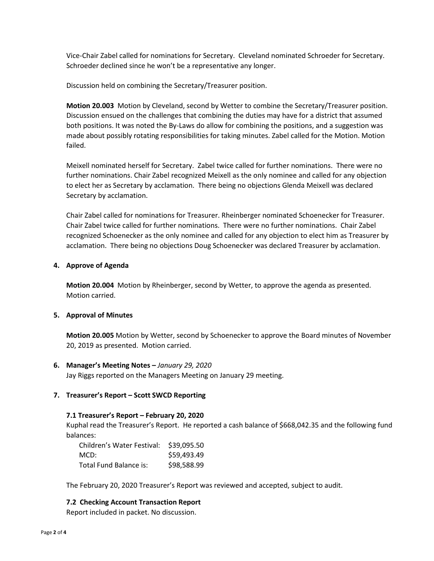Vice-Chair Zabel called for nominations for Secretary. Cleveland nominated Schroeder for Secretary. Schroeder declined since he won't be a representative any longer.

Discussion held on combining the Secretary/Treasurer position.

**Motion 20.003** Motion by Cleveland, second by Wetter to combine the Secretary/Treasurer position. Discussion ensued on the challenges that combining the duties may have for a district that assumed both positions. It was noted the By-Laws do allow for combining the positions, and a suggestion was made about possibly rotating responsibilities for taking minutes. Zabel called for the Motion. Motion failed.

Meixell nominated herself for Secretary. Zabel twice called for further nominations. There were no further nominations. Chair Zabel recognized Meixell as the only nominee and called for any objection to elect her as Secretary by acclamation. There being no objections Glenda Meixell was declared Secretary by acclamation.

Chair Zabel called for nominations for Treasurer. Rheinberger nominated Schoenecker for Treasurer. Chair Zabel twice called for further nominations. There were no further nominations. Chair Zabel recognized Schoenecker as the only nominee and called for any objection to elect him as Treasurer by acclamation. There being no objections Doug Schoenecker was declared Treasurer by acclamation.

# **4. Approve of Agenda**

**Motion 20.004** Motion by Rheinberger, second by Wetter, to approve the agenda as presented. Motion carried.

# **5. Approval of Minutes**

**Motion 20.005** Motion by Wetter, second by Schoenecker to approve the Board minutes of November 20, 2019 as presented. Motion carried.

#### **6. Manager's Meeting Notes –** *January 29, 2020*

Jay Riggs reported on the Managers Meeting on January 29 meeting.

# **7. Treasurer's Report – Scott SWCD Reporting**

#### **7.1 Treasurer's Report – February 20, 2020**

Kuphal read the Treasurer's Report. He reported a cash balance of \$668,042.35 and the following fund balances:

| Children's Water Festival: \$39,095.50 |             |
|----------------------------------------|-------------|
| MCD:                                   | \$59,493.49 |
| Total Fund Balance is:                 | \$98,588.99 |

The February 20, 2020 Treasurer's Report was reviewed and accepted, subject to audit.

# **7.2 Checking Account Transaction Report**

Report included in packet. No discussion.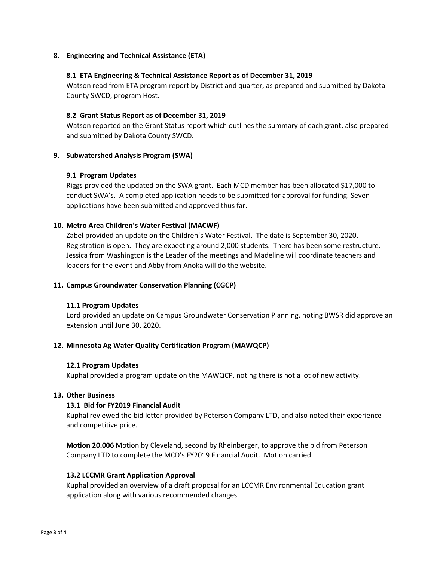# **8. Engineering and Technical Assistance (ETA)**

#### **8.1 ETA Engineering & Technical Assistance Report as of December 31, 2019**

Watson read from ETA program report by District and quarter, as prepared and submitted by Dakota County SWCD, program Host.

#### **8.2 Grant Status Report as of December 31, 2019**

Watson reported on the Grant Status report which outlines the summary of each grant, also prepared and submitted by Dakota County SWCD.

#### **9. Subwatershed Analysis Program (SWA)**

#### **9.1 Program Updates**

Riggs provided the updated on the SWA grant. Each MCD member has been allocated \$17,000 to conduct SWA's. A completed application needs to be submitted for approval for funding. Seven applications have been submitted and approved thus far.

#### **10. Metro Area Children's Water Festival (MACWF)**

Zabel provided an update on the Children's Water Festival. The date is September 30, 2020. Registration is open. They are expecting around 2,000 students. There has been some restructure. Jessica from Washington is the Leader of the meetings and Madeline will coordinate teachers and leaders for the event and Abby from Anoka will do the website.

#### **11. Campus Groundwater Conservation Planning (CGCP)**

#### **11.1 Program Updates**

Lord provided an update on Campus Groundwater Conservation Planning, noting BWSR did approve an extension until June 30, 2020.

#### **12. Minnesota Ag Water Quality Certification Program (MAWQCP)**

#### **12.1 Program Updates**

Kuphal provided a program update on the MAWQCP, noting there is not a lot of new activity.

#### **13. Other Business**

#### **13.1 Bid for FY2019 Financial Audit**

Kuphal reviewed the bid letter provided by Peterson Company LTD, and also noted their experience and competitive price.

**Motion 20.006** Motion by Cleveland, second by Rheinberger, to approve the bid from Peterson Company LTD to complete the MCD's FY2019 Financial Audit. Motion carried.

#### **13.2 LCCMR Grant Application Approval**

Kuphal provided an overview of a draft proposal for an LCCMR Environmental Education grant application along with various recommended changes.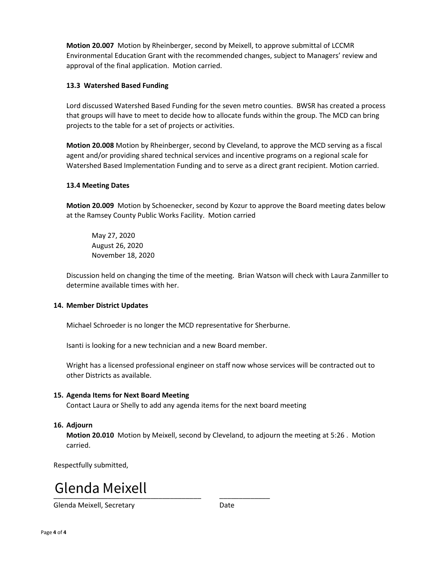**Motion 20.007** Motion by Rheinberger, second by Meixell, to approve submittal of LCCMR Environmental Education Grant with the recommended changes, subject to Managers' review and approval of the final application. Motion carried.

# **13.3 Watershed Based Funding**

Lord discussed Watershed Based Funding for the seven metro counties. BWSR has created a process that groups will have to meet to decide how to allocate funds within the group. The MCD can bring projects to the table for a set of projects or activities.

**Motion 20.008** Motion by Rheinberger, second by Cleveland, to approve the MCD serving as a fiscal agent and/or providing shared technical services and incentive programs on a regional scale for Watershed Based Implementation Funding and to serve as a direct grant recipient. Motion carried.

# **13.4 Meeting Dates**

**Motion 20.009** Motion by Schoenecker, second by Kozur to approve the Board meeting dates below at the Ramsey County Public Works Facility. Motion carried

May 27, 2020 August 26, 2020 November 18, 2020

Discussion held on changing the time of the meeting. Brian Watson will check with Laura Zanmiller to determine available times with her.

# **14. Member District Updates**

Michael Schroeder is no longer the MCD representative for Sherburne.

Isanti is looking for a new technician and a new Board member.

Wright has a licensed professional engineer on staff now whose services will be contracted out to other Districts as available.

# **15. Agenda Items for Next Board Meeting**

Contact Laura or Shelly to add any agenda items for the next board meeting

# **16. Adjourn**

**Motion 20.010** Motion by Meixell, second by Cleveland, to adjourn the meeting at 5:26 . Motion carried.

Respectfully submitted,

# <u>otenaa memett</u> Glenda Meixell

Glenda Meixell, Secretary **Date**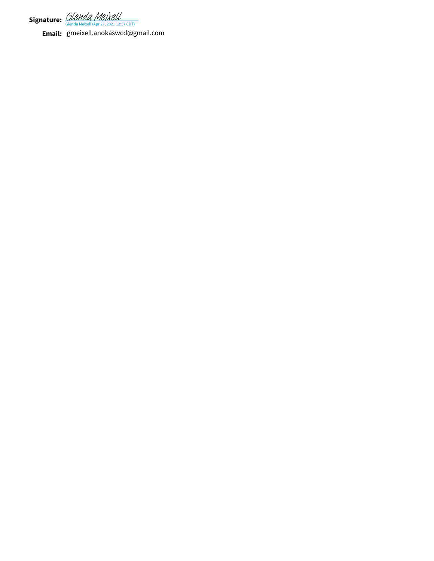**Signature:** *GIPPINA PIBLACI*<br>Glenda Meixell (Apr 27, 2021 12:57 CDT) [Glenda Meixell](https://na2.documents.adobe.com/verifier?tx=CBJCHBCAABAAEzPXq-5CEKVgiYrNSJr1aoNoUNlabCsc)

**Email:** gmeixell.anokaswcd@gmail.com